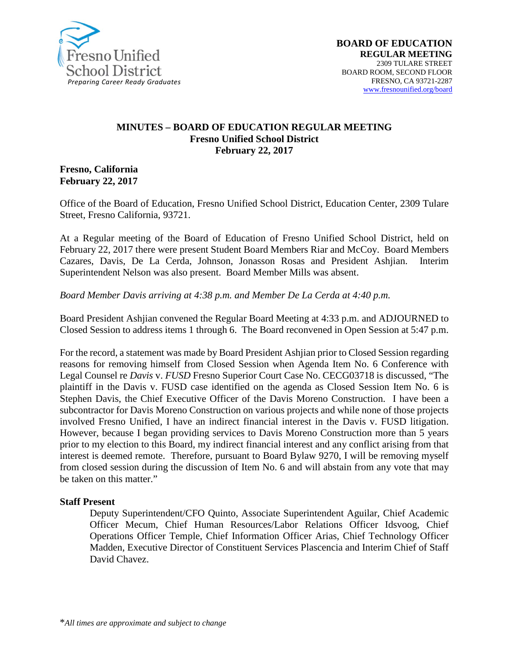

#### **MINUTES – BOARD OF EDUCATION REGULAR MEETING Fresno Unified School District February 22, 2017**

**Fresno, California February 22, 2017**

Office of the Board of Education, Fresno Unified School District, Education Center, 2309 Tulare Street, Fresno California, 93721.

At a Regular meeting of the Board of Education of Fresno Unified School District, held on February 22, 2017 there were present Student Board Members Riar and McCoy. Board Members Cazares, Davis, De La Cerda, Johnson, Jonasson Rosas and President Ashjian. Interim Superintendent Nelson was also present. Board Member Mills was absent.

*Board Member Davis arriving at 4:38 p.m. and Member De La Cerda at 4:40 p.m.*

Board President Ashjian convened the Regular Board Meeting at 4:33 p.m. and ADJOURNED to Closed Session to address items 1 through 6. The Board reconvened in Open Session at 5:47 p.m.

For the record, a statement was made by Board President Ashjian prior to Closed Session regarding reasons for removing himself from Closed Session when Agenda Item No. 6 Conference with Legal Counsel re *Davis* v. *FUSD* Fresno Superior Court Case No. CECG03718 is discussed, "The plaintiff in the Davis v. FUSD case identified on the agenda as Closed Session Item No. 6 is Stephen Davis, the Chief Executive Officer of the Davis Moreno Construction. I have been a subcontractor for Davis Moreno Construction on various projects and while none of those projects involved Fresno Unified, I have an indirect financial interest in the Davis v. FUSD litigation. However, because I began providing services to Davis Moreno Construction more than 5 years prior to my election to this Board, my indirect financial interest and any conflict arising from that interest is deemed remote. Therefore, pursuant to Board Bylaw 9270, I will be removing myself from closed session during the discussion of Item No. 6 and will abstain from any vote that may be taken on this matter."

#### **Staff Present**

Deputy Superintendent/CFO Quinto, Associate Superintendent Aguilar, Chief Academic Officer Mecum, Chief Human Resources/Labor Relations Officer Idsvoog, Chief Operations Officer Temple, Chief Information Officer Arias, Chief Technology Officer Madden, Executive Director of Constituent Services Plascencia and Interim Chief of Staff David Chavez.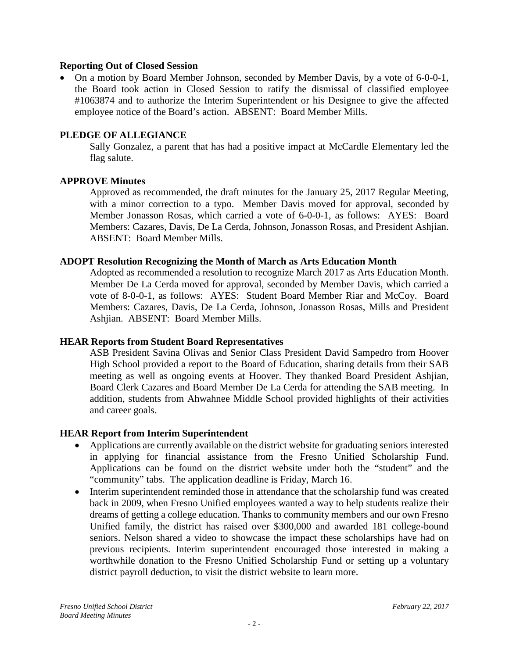#### **Reporting Out of Closed Session**

• On a motion by Board Member Johnson, seconded by Member Davis, by a vote of 6-0-0-1, the Board took action in Closed Session to ratify the dismissal of classified employee #1063874 and to authorize the Interim Superintendent or his Designee to give the affected employee notice of the Board's action. ABSENT: Board Member Mills.

#### **PLEDGE OF ALLEGIANCE**

Sally Gonzalez, a parent that has had a positive impact at McCardle Elementary led the flag salute.

#### **APPROVE Minutes**

Approved as recommended, the draft minutes for the January 25, 2017 Regular Meeting, with a minor correction to a typo. Member Davis moved for approval, seconded by Member Jonasson Rosas, which carried a vote of 6-0-0-1, as follows: AYES: Board Members: Cazares, Davis, De La Cerda, Johnson, Jonasson Rosas, and President Ashjian. ABSENT: Board Member Mills.

#### **ADOPT Resolution Recognizing the Month of March as Arts Education Month**

Adopted as recommended a resolution to recognize March 2017 as Arts Education Month. Member De La Cerda moved for approval, seconded by Member Davis, which carried a vote of 8-0-0-1, as follows: AYES: Student Board Member Riar and McCoy. Board Members: Cazares, Davis, De La Cerda, Johnson, Jonasson Rosas, Mills and President Ashjian. ABSENT: Board Member Mills.

#### **HEAR Reports from Student Board Representatives**

ASB President Savina Olivas and Senior Class President David Sampedro from Hoover High School provided a report to the Board of Education, sharing details from their SAB meeting as well as ongoing events at Hoover. They thanked Board President Ashjian, Board Clerk Cazares and Board Member De La Cerda for attending the SAB meeting. In addition, students from Ahwahnee Middle School provided highlights of their activities and career goals.

#### **HEAR Report from Interim Superintendent**

- [Applications](https://www.fresnounified.org/Documents/Scholarship-Application-2016-17.pdf) are currently available on the district website for graduating seniors interested in applying for financial assistance from the Fresno Unified Scholarship Fund. Applications can be found on the district website under both the "student" and the "community" tabs. The application deadline is Friday, March 16.
- Interim superintendent reminded those in attendance that the scholarship fund was created back in 2009, when Fresno Unified employees wanted a way to help students realize their dreams of getting a college education. Thanks to community members and our own Fresno Unified family, the district has raised over \$300,000 and awarded 181 college-bound seniors. Nelson shared a [video](https://vimeo.com/165620374) to showcase the impact these scholarships have had on previous recipients. Interim superintendent encouraged those interested in making a worthwhile donation to the [Fresno Unified Scholarship Fund](https://www.fresnounified.org/Pages/fusd-scholarship.aspx) or setting up a voluntary district [payroll deduction,](https://www.fresnounified.org/PublishingImages/Pages/fusd-scholarship/Scholarship%20Donation%20Form.pdf) to visit the district website to learn more.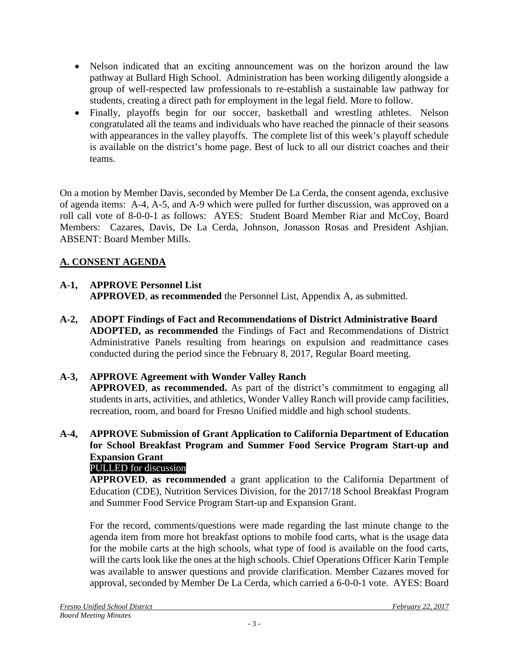- Nelson indicated that an exciting announcement was on the horizon around the law pathway at Bullard High School. Administration has been working diligently alongside a group of well-respected law professionals to re-establish a sustainable law pathway for students, creating a direct path for employment in the legal field. More to follow.
- Finally, playoffs begin for our soccer, basketball and wrestling athletes. Nelson congratulated all the teams and individuals who have reached the pinnacle of their seasons with appearances in the valley playoffs. The complete list of this week's playoff schedule is available on the [district's home page.](https://www.fresnounified.org/Pages/Archive.aspx?ArchiveItemType=Event) Best of luck to all our district coaches and their teams.

On a motion by Member Davis, seconded by Member De La Cerda, the consent agenda, exclusive of agenda items: A-4, A-5, and A-9 which were pulled for further discussion, was approved on a roll call vote of 8-0-0-1 as follows: AYES: Student Board Member Riar and McCoy, Board Members: Cazares, Davis, De La Cerda, Johnson, Jonasson Rosas and President Ashjian. ABSENT: Board Member Mills.

## **A. CONSENT AGENDA**

# **A-1, APPROVE Personnel List**

**APPROVED**, **as recommended** the Personnel List, Appendix A, as submitted.

**A-2, ADOPT Findings of Fact and Recommendations of District Administrative Board ADOPTED, as recommended** the Findings of Fact and Recommendations of District Administrative Panels resulting from hearings on expulsion and readmittance cases conducted during the period since the February 8, 2017, Regular Board meeting.

## **A-3, APPROVE Agreement with Wonder Valley Ranch**

**APPROVED**, **as recommended.** As part of the district's commitment to engaging all students in arts, activities, and athletics, Wonder Valley Ranch will provide camp facilities, recreation, room, and board for Fresno Unified middle and high school students.

**A-4, APPROVE Submission of Grant Application to California Department of Education for School Breakfast Program and Summer Food Service Program Start-up and Expansion Grant**

## PULLED for discussion

**APPROVED**, **as recommended** a grant application to the California Department of Education (CDE), Nutrition Services Division, for the 2017/18 School Breakfast Program and Summer Food Service Program Start-up and Expansion Grant.

For the record, comments/questions were made regarding the last minute change to the agenda item from more hot breakfast options to mobile food carts, what is the usage data for the mobile carts at the high schools, what type of food is available on the food carts, will the carts look like the ones at the high schools. Chief Operations Officer Karin Temple was available to answer questions and provide clarification. Member Cazares moved for approval, seconded by Member De La Cerda, which carried a 6-0-0-1 vote. AYES: Board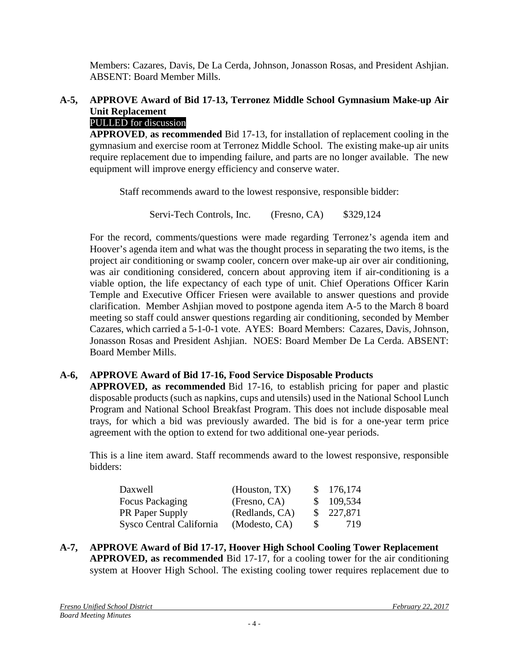Members: Cazares, Davis, De La Cerda, Johnson, Jonasson Rosas, and President Ashjian. ABSENT: Board Member Mills.

## **A-5, APPROVE Award of Bid 17-13, Terronez Middle School Gymnasium Make-up Air Unit Replacement**

## PULLED for discussion

**APPROVED**, **as recommended** Bid 17-13, for installation of replacement cooling in the gymnasium and exercise room at Terronez Middle School. The existing make-up air units require replacement due to impending failure, and parts are no longer available. The new equipment will improve energy efficiency and conserve water.

Staff recommends award to the lowest responsive, responsible bidder:

Servi-Tech Controls, Inc. (Fresno, CA) \$329,124

For the record, comments/questions were made regarding Terronez's agenda item and Hoover's agenda item and what was the thought process in separating the two items, is the project air conditioning or swamp cooler, concern over make-up air over air conditioning, was air conditioning considered, concern about approving item if air-conditioning is a viable option, the life expectancy of each type of unit. Chief Operations Officer Karin Temple and Executive Officer Friesen were available to answer questions and provide clarification. Member Ashjian moved to postpone agenda item A-5 to the March 8 board meeting so staff could answer questions regarding air conditioning, seconded by Member Cazares, which carried a 5-1-0-1 vote. AYES: Board Members: Cazares, Davis, Johnson, Jonasson Rosas and President Ashjian. NOES: Board Member De La Cerda. ABSENT: Board Member Mills.

## **A-6, APPROVE Award of Bid 17-16, Food Service Disposable Products**

**APPROVED, as recommended** Bid 17-16, to establish pricing for paper and plastic disposable products (such as napkins, cups and utensils) used in the National School Lunch Program and National School Breakfast Program. This does not include disposable meal trays, for which a bid was previously awarded. The bid is for a one-year term price agreement with the option to extend for two additional one-year periods.

This is a line item award. Staff recommends award to the lowest responsive, responsible bidders:

| Daxwell                  | (Houston, TX)  | SS.          | 176,174   |
|--------------------------|----------------|--------------|-----------|
| Focus Packaging          | (Fresno, CA)   | <sup>S</sup> | 109,534   |
| PR Paper Supply          | (Redlands, CA) |              | \$227,871 |
| Sysco Central California | (Modesto, CA)  | <sup>S</sup> | 719       |

**A-7, APPROVE Award of Bid 17-17, Hoover High School Cooling Tower Replacement APPROVED, as recommended** Bid 17-17, for a cooling tower for the air conditioning system at Hoover High School. The existing cooling tower requires replacement due to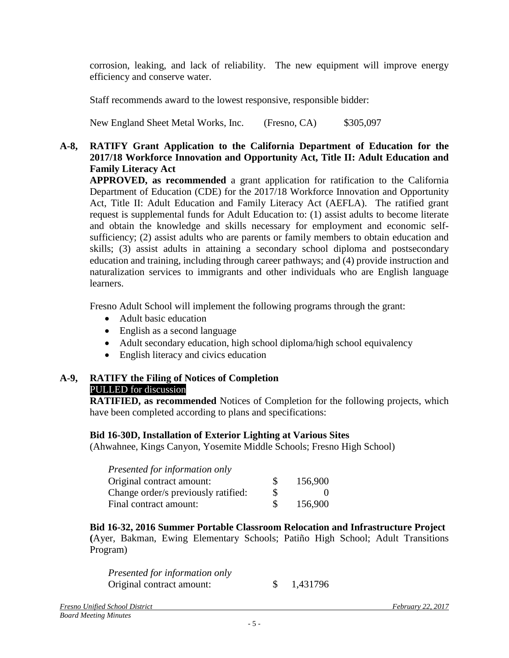corrosion, leaking, and lack of reliability. The new equipment will improve energy efficiency and conserve water.

Staff recommends award to the lowest responsive, responsible bidder:

New England Sheet Metal Works, Inc. (Fresno, CA) \$305,097

#### **A-8, RATIFY Grant Application to the California Department of Education for the 2017/18 Workforce Innovation and Opportunity Act, Title II: Adult Education and Family Literacy Act**

**APPROVED, as recommended** a grant application for ratification to the California Department of Education (CDE) for the 2017/18 Workforce Innovation and Opportunity Act, Title II: Adult Education and Family Literacy Act (AEFLA). The ratified grant request is supplemental funds for Adult Education to: (1) assist adults to become literate and obtain the knowledge and skills necessary for employment and economic selfsufficiency; (2) assist adults who are parents or family members to obtain education and skills; (3) assist adults in attaining a secondary school diploma and postsecondary education and training, including through career pathways; and (4) provide instruction and naturalization services to immigrants and other individuals who are English language learners.

Fresno Adult School will implement the following programs through the grant:

- Adult basic education
- English as a second language
- Adult secondary education, high school diploma/high school equivalency
- English literacy and civics education

#### **A-9, RATIFY the Filing of Notices of Completion** PULLED for discussion

**RATIFIED, as recommended** Notices of Completion for the following projects, which have been completed according to plans and specifications:

## **Bid 16-30D, Installation of Exterior Lighting at Various Sites**

(Ahwahnee, Kings Canyon, Yosemite Middle Schools; Fresno High School)

| Presented for information only      |    |         |
|-------------------------------------|----|---------|
| Original contract amount:           | S. | 156,900 |
| Change order/s previously ratified: | S  |         |
| Final contract amount:              |    | 156,900 |

**Bid 16-32, 2016 Summer Portable Classroom Relocation and Infrastructure Project (**Ayer, Bakman, Ewing Elementary Schools; Patiño High School; Adult Transitions Program)

| Presented for information only |          |
|--------------------------------|----------|
| Original contract amount:      | 1,431796 |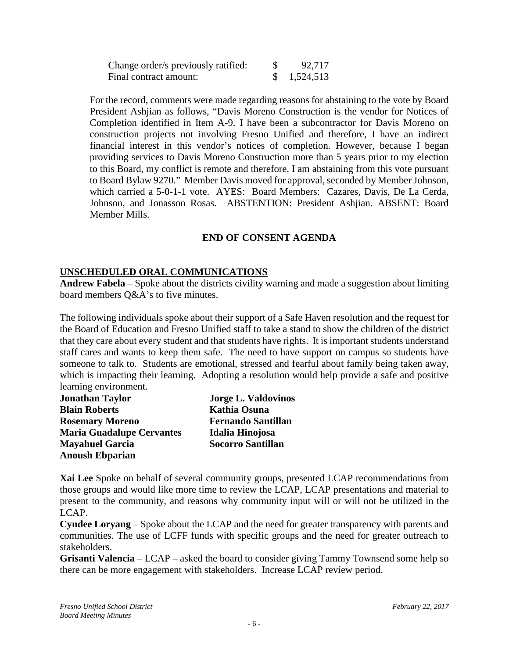| Change order/s previously ratified: | 92,717    |
|-------------------------------------|-----------|
| Final contract amount:              | 1,524,513 |

For the record, comments were made regarding reasons for abstaining to the vote by Board President Ashjian as follows, "Davis Moreno Construction is the vendor for Notices of Completion identified in Item A-9. I have been a subcontractor for Davis Moreno on construction projects not involving Fresno Unified and therefore, I have an indirect financial interest in this vendor's notices of completion. However, because I began providing services to Davis Moreno Construction more than 5 years prior to my election to this Board, my conflict is remote and therefore, I am abstaining from this vote pursuant to Board Bylaw 9270." Member Davis moved for approval, seconded by Member Johnson, which carried a 5-0-1-1 vote. AYES: Board Members: Cazares, Davis, De La Cerda, Johnson, and Jonasson Rosas. ABSTENTION: President Ashjian. ABSENT: Board Member Mills.

#### **END OF CONSENT AGENDA**

#### **UNSCHEDULED ORAL COMMUNICATIONS**

**Andrew Fabela** – Spoke about the districts civility warning and made a suggestion about limiting board members Q&A's to five minutes.

The following individuals spoke about their support of a Safe Haven resolution and the request for the Board of Education and Fresno Unified staff to take a stand to show the children of the district that they care about every student and that students have rights. It is important students understand staff cares and wants to keep them safe. The need to have support on campus so students have someone to talk to. Students are emotional, stressed and fearful about family being taken away, which is impacting their learning. Adopting a resolution would help provide a safe and positive learning environment.

| <b>Jonathan Taylor</b>           |  |
|----------------------------------|--|
| <b>Blain Roberts</b>             |  |
| <b>Rosemary Moreno</b>           |  |
| <b>Maria Guadalupe Cervantes</b> |  |
| <b>Mayahuel Garcia</b>           |  |
| <b>Anoush Ebparian</b>           |  |

**Jorge L. Valdovinos Kathia Osuna Rosemary Moreno Fernando Santillan Idalia Hinojosa Socorro Santillan** 

**Xai Lee** Spoke on behalf of several community groups, presented LCAP recommendations from those groups and would like more time to review the LCAP, LCAP presentations and material to present to the community, and reasons why community input will or will not be utilized in the LCAP.

**Cyndee Loryang** – Spoke about the LCAP and the need for greater transparency with parents and communities. The use of LCFF funds with specific groups and the need for greater outreach to stakeholders.

**Grisanti Valencia** – LCAP – asked the board to consider giving Tammy Townsend some help so there can be more engagement with stakeholders. Increase LCAP review period.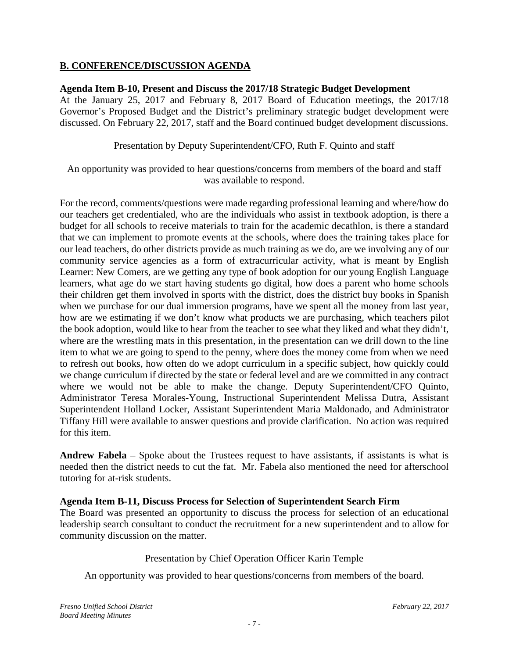## **B. CONFERENCE/DISCUSSION AGENDA**

### **Agenda Item B-10, Present and Discuss the 2017/18 Strategic Budget Development**

At the January 25, 2017 and February 8, 2017 Board of Education meetings, the 2017/18 Governor's Proposed Budget and the District's preliminary strategic budget development were discussed. On February 22, 2017, staff and the Board continued budget development discussions.

Presentation by Deputy Superintendent/CFO, Ruth F. Quinto and staff

#### An opportunity was provided to hear questions/concerns from members of the board and staff was available to respond.

For the record, comments/questions were made regarding professional learning and where/how do our teachers get credentialed, who are the individuals who assist in textbook adoption, is there a budget for all schools to receive materials to train for the academic decathlon, is there a standard that we can implement to promote events at the schools, where does the training takes place for our lead teachers, do other districts provide as much training as we do, are we involving any of our community service agencies as a form of extracurricular activity, what is meant by English Learner: New Comers, are we getting any type of book adoption for our young English Language learners, what age do we start having students go digital, how does a parent who home schools their children get them involved in sports with the district, does the district buy books in Spanish when we purchase for our dual immersion programs, have we spent all the money from last year, how are we estimating if we don't know what products we are purchasing, which teachers pilot the book adoption, would like to hear from the teacher to see what they liked and what they didn't, where are the wrestling mats in this presentation, in the presentation can we drill down to the line item to what we are going to spend to the penny, where does the money come from when we need to refresh out books, how often do we adopt curriculum in a specific subject, how quickly could we change curriculum if directed by the state or federal level and are we committed in any contract where we would not be able to make the change. Deputy Superintendent/CFO Quinto, Administrator Teresa Morales-Young, Instructional Superintendent Melissa Dutra, Assistant Superintendent Holland Locker, Assistant Superintendent Maria Maldonado, and Administrator Tiffany Hill were available to answer questions and provide clarification. No action was required for this item.

**Andrew Fabela** – Spoke about the Trustees request to have assistants, if assistants is what is needed then the district needs to cut the fat. Mr. Fabela also mentioned the need for afterschool tutoring for at-risk students.

## **Agenda Item B-11, Discuss Process for Selection of Superintendent Search Firm**

The Board was presented an opportunity to discuss the process for selection of an educational leadership search consultant to conduct the recruitment for a new superintendent and to allow for community discussion on the matter.

#### Presentation by Chief Operation Officer Karin Temple

An opportunity was provided to hear questions/concerns from members of the board.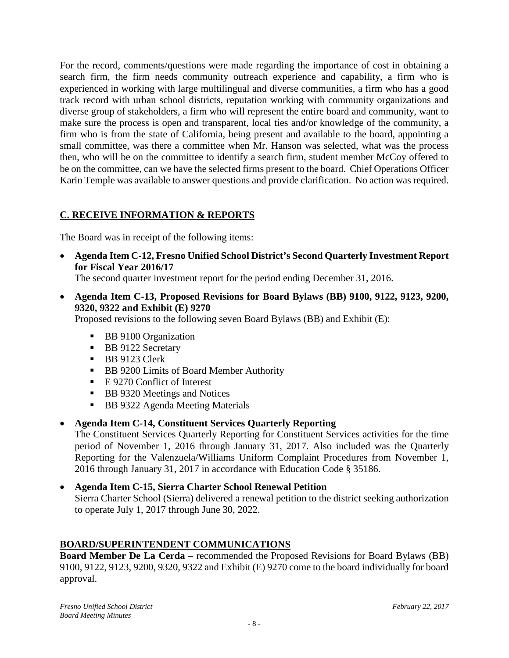For the record, comments/questions were made regarding the importance of cost in obtaining a search firm, the firm needs community outreach experience and capability, a firm who is experienced in working with large multilingual and diverse communities, a firm who has a good track record with urban school districts, reputation working with community organizations and diverse group of stakeholders, a firm who will represent the entire board and community, want to make sure the process is open and transparent, local ties and/or knowledge of the community, a firm who is from the state of California, being present and available to the board, appointing a small committee, was there a committee when Mr. Hanson was selected, what was the process then, who will be on the committee to identify a search firm, student member McCoy offered to be on the committee, can we have the selected firms present to the board. Chief Operations Officer Karin Temple was available to answer questions and provide clarification. No action was required.

## **C. RECEIVE INFORMATION & REPORTS**

The Board was in receipt of the following items:

• **Agenda Item C-12, Fresno Unified School District's Second Quarterly Investment Report for Fiscal Year 2016/17**

The second quarter investment report for the period ending December 31, 2016.

• **Agenda Item C-13, Proposed Revisions for Board Bylaws (BB) 9100, 9122, 9123, 9200, 9320, 9322 and Exhibit (E) 9270**

Proposed revisions to the following seven Board Bylaws (BB) and Exhibit (E):

- **BB 9100 Organization**
- **BB** 9122 Secretary
- BB 9123 Clerk
- **BB 9200 Limits of Board Member Authority**
- E 9270 Conflict of Interest
- **BB 9320 Meetings and Notices**
- **BB 9322 Agenda Meeting Materials**
- **Agenda Item C-14, Constituent Services Quarterly Reporting**

The Constituent Services Quarterly Reporting for Constituent Services activities for the time period of November 1, 2016 through January 31, 2017. Also included was the Quarterly Reporting for the Valenzuela/Williams Uniform Complaint Procedures from November 1, 2016 through January 31, 2017 in accordance with Education Code § 35186.

## • **Agenda Item C-15, Sierra Charter School Renewal Petition** Sierra Charter School (Sierra) delivered a renewal petition to the district seeking authorization to operate July 1, 2017 through June 30, 2022.

## **BOARD/SUPERINTENDENT COMMUNICATIONS**

**Board Member De La Cerda** – recommended the Proposed Revisions for Board Bylaws (BB) 9100, 9122, 9123, 9200, 9320, 9322 and Exhibit (E) 9270 come to the board individually for board approval.